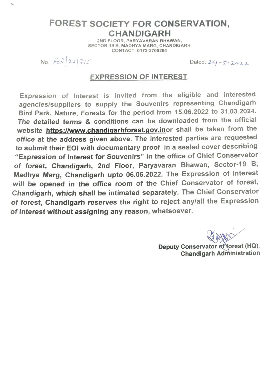## **FOREST SOCIETY FOR CONSERVATION, CHANDIGARH**

2ND FLOOR, PARYAVARAN BHAWAN, SECTOR-19 B, MADHYA MARG, CHANDIGARH CONTACT: 0172-2700284

No.  $f \circ f \{22 | 715$ 

 $\mathcal{L}$ 

Dated:  $24 - 5 - 2022$ 

## **EXPRESSION OF INTEREST**

Expression of Interest is invited from the eligible and interested agencies/suppliers to supply the Souvenirs representing Chandigarh Bird Park, Nature, Forests for the period from 15.06.2022 to 31.03.2024. The detailed terms & conditions can be downloaded from the official website https://www.chandigarhforest.gov.inor shall be taken from the office at the address given above. The interested parties are requested to submit their EOI with documentary proof in a sealed cover describing "Expression of Interest for Souvenirs" in the office of Chief Conservator of forest, Chandigarh, 2nd Floor, Paryavaran Bhawan, Sector-19 B, Madhya Marg, Chandigarh upto 06.06.2022. The Expression of Interest will be opened in the office room of the Chief Conservator of forest, Chandigarh, which shall be intimated separately. The Chief Conservator of forest, Chandigarh reserves the right to reject any/all the Expression of Interest without assigning any reason, whatsoever.

Deputy Conservator of forest (HQ), **Chandigarh Administration**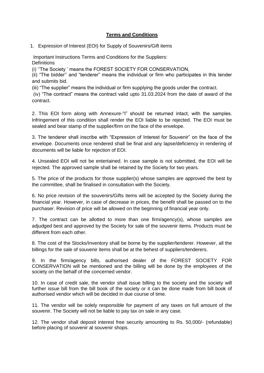## **Terms and Conditions**

1. Expression of Interest (EOI) for Supply of Souvenirs/Gift items

Important Instructions Terms and Conditions for the Suppliers: **Definitions** 

(i) ''The Society ' means the FOREST SOCIETY FOR CONSERVATION,

(ii) "The bidder'' and "tenderer" means the individual or firm who participates in this tender and submits bid.

(iii) "The supplier" means the individual or firm supplying the goods under the contract.

(iv) "The contract" means the contract valid upto 31.03.2024 from the date of award of the contract.

2. This EOI form along with Annexure-"I" should be returned intact, with the samples. Infringement of this condition shall render the EOI liable to be rejected. The EOI must be sealed and bear stamp of the supplier/firm on the face of the envelope.

3. The tenderer shall inscribe with "Expression of Interest for Souvenir" on the face of the envelope. Documents once rendered shall be final and any lapse/deficiency in rendering of documents will be liable for rejection of EOI.

4. Unsealed EOI will not be entertained. In case sample is not submitted, the EOI will be rejected. The approved sample shall be retained by the Society for two years.

5. The price of the products for those supplier(s) whose samples are approved the best by the committee, shall be finalised in consultation with the Society.

6. No price revision of the souvenirs/Gifts items will be accepted by the Society during the financial year. However, in case of decrease in prices, the benefit shall be passed on to the purchaser. Revision of price will be allowed on the beginning of financial year only.

7. The contract can be allotted to more than one firm/agency(s), whose samples are adjudged best and approved by the Society for sale of the souvenir items. Products must be different from each other.

8. The cost of the Stocks/Inventory shall be borne by the supplier/tenderer. However, all the billings for the sale of souvenir items shall be at the behest of suppliers/tenderers.

9. In the firm/agency bills, authorised dealer of the FOREST SOCIETY FOR CONSERVATION will be mentioned and the billing will be done by the employees of the society on the behalf of the concerned vendor.

10. In case of credit sale, the vendor shall issue billing to the society and the society will further issue bill from the bill book of the society or it can be done made from bill book of authorised vendor which will be decided in due course of time.

11. The vendor will be solely responsible for payment of any taxes on full amount of the souvenir. The Society will not be liable to pay tax on sale in any case.

12. The vendor shall deposit interest free security amounting to Rs. 50,000/- (refundable) before placing of souvenir at souvenir shops.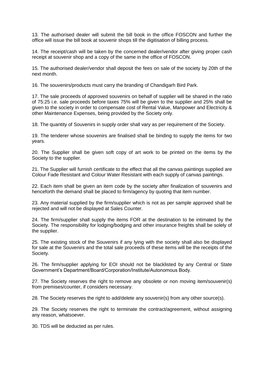13. The authorised dealer will submit the bill book in the office FOSCON and further the office will issue the bill book at souvenir shops till the digitisation of billing process.

14. The receipt/cash will be taken by the concerned dealer/vendor after giving proper cash receipt at souvenir shop and a copy of the same in the office of FOSCON.

15. The authorised dealer/vendor shall deposit the fees on sale of the society by 20th of the next month.

16. The souvenirs/products must carry the branding of Chandigarh Bird Park.

17. The sale proceeds of approved souvenirs on behalf of supplier will be shared in the ratio of 75:25 i.e. sale proceeds before taxes 75% will be given to the supplier and 25% shall be given to the society in order to compensate cost of Rental Value, Manpower and Electricity & other Maintenance Expenses, being provided by the Society only.

18. The quantity of Souvenirs in supply order shall vary as per requirement of the Society.

19. The tenderer whose souvenirs are finalised shall be binding to supply the items for two years.

20. The Supplier shall be given soft copy of art work to be printed on the items by the Society to the supplier.

21. The Supplier will furnish certificate to the effect that all the canvas paintings supplied are Colour Fade Resistant and Colour Water Resistant with each supply of canvas paintings.

22. Each item shall be given an item code by the society after finalization of souvenirs and henceforth the demand shall be placed to firm/agency by quoting that item number.

23. Any material supplied by the firm/supplier which is not as per sample approved shall be rejected and will not be displayed at Sales Counter.

24. The firm/supplier shall supply the items FOR at the destination to be intimated by the Society. The responsibility for lodging/bodging and other insurance freights shall be solely of the supplier.

25. The existing stock of the Souvenirs if any lying with the society shall also be displayed for sale at the Souvenirs and the total sale proceeds of these items will be the receipts of the Society.

26. The firm/supplier applying for EOI should not be blacklisted by any Central or State Government's Department/Board/Corporation/Institute/Autonomous Body.

27. The Society reserves the right to remove any obsolete or non moving item/souvenir(s) from premises/counter, if considers necessary.

28. The Society reserves the right to add/delete any souvenir(s) from any other source(s).

29. The Society reserves the right to terminate the contract/agreement, without assigning any reason, whatsoever.

30. TDS will be deducted as per rules.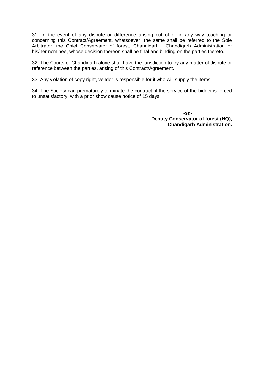31. In the event of any dispute or difference arising out of or in any way touching or concerning this Contract/Agreement, whatsoever, the same shall be referred to the Sole Arbitrator, the Chief Conservator of forest, Chandigarh , Chandigarh Administration or his/her nominee, whose decision thereon shall be final and binding on the parties thereto.

32. The Courts of Chandigarh alone shall have the jurisdiction to try any matter of dispute or reference between the parties, arising of this Contract/Agreement.

33. Any violation of copy right, vendor is responsible for it who will supply the items.

34. The Society can prematurely terminate the contract, if the service of the bidder is forced to unsatisfactory, with a prior show cause notice of 15 days.

> **-sd-Deputy Conservator of forest (HQ), Chandigarh Administration.**